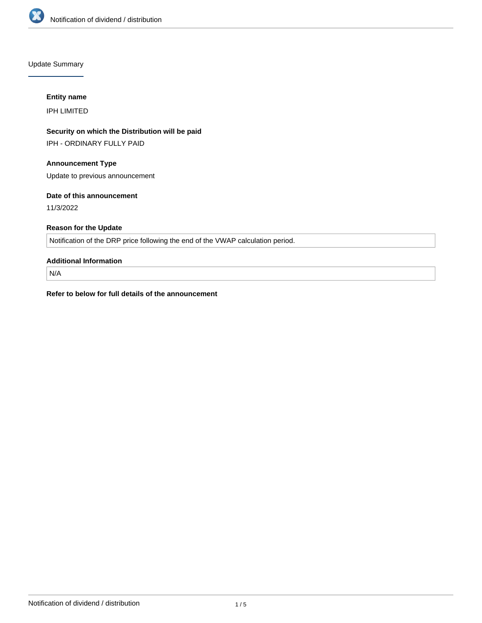

Update Summary

### **Entity name**

IPH LIMITED

# **Security on which the Distribution will be paid**

IPH - ORDINARY FULLY PAID

## **Announcement Type**

Update to previous announcement

### **Date of this announcement**

11/3/2022

## **Reason for the Update**

Notification of the DRP price following the end of the VWAP calculation period.

## **Additional Information**

N/A

**Refer to below for full details of the announcement**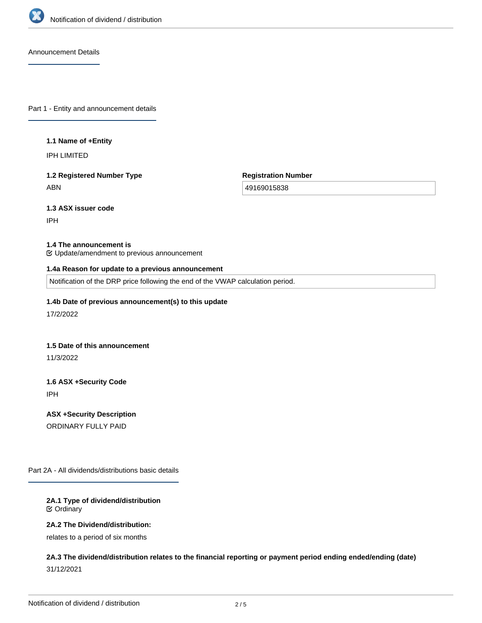

Announcement Details

Part 1 - Entity and announcement details

#### **1.1 Name of +Entity**

IPH LIMITED

# **1.2 Registered Number Type** ABN

**Registration Number**

49169015838

**1.3 ASX issuer code**

IPH

#### **1.4 The announcement is**

Update/amendment to previous announcement

#### **1.4a Reason for update to a previous announcement**

Notification of the DRP price following the end of the VWAP calculation period.

#### **1.4b Date of previous announcement(s) to this update**

17/2/2022

#### **1.5 Date of this announcement**

11/3/2022

# **1.6 ASX +Security Code** IPH

**ASX +Security Description** ORDINARY FULLY PAID

Part 2A - All dividends/distributions basic details

### **2A.1 Type of dividend/distribution** Ordinary

#### **2A.2 The Dividend/distribution:**

relates to a period of six months

# **2A.3 The dividend/distribution relates to the financial reporting or payment period ending ended/ending (date)** 31/12/2021

**2A.4 +Record Date**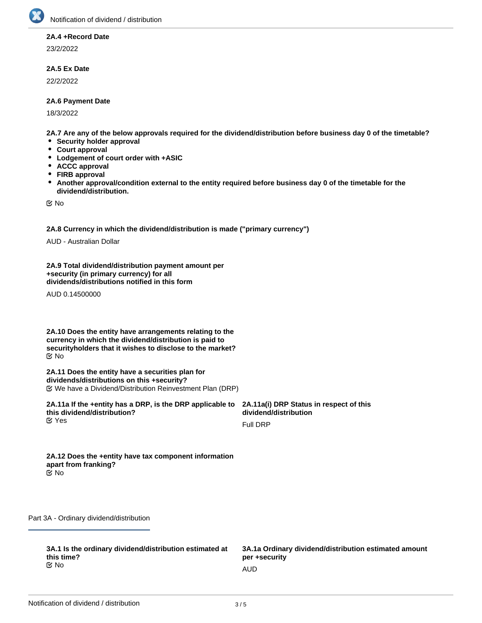

#### **2A.4 +Record Date**

23/2/2022

### **2A.5 Ex Date**

22/2/2022

### **2A.6 Payment Date**

18/3/2022

**2A.7 Are any of the below approvals required for the dividend/distribution before business day 0 of the timetable?**

- **•** Security holder approval
- **Court approval**
- **Lodgement of court order with +ASIC**
- **ACCC approval**
- **FIRB approval**
- $\bullet$ **Another approval/condition external to the entity required before business day 0 of the timetable for the dividend/distribution.**

No

**2A.8 Currency in which the dividend/distribution is made ("primary currency")**

AUD - Australian Dollar

**2A.9 Total dividend/distribution payment amount per +security (in primary currency) for all dividends/distributions notified in this form**

AUD 0.14500000

**2A.10 Does the entity have arrangements relating to the currency in which the dividend/distribution is paid to securityholders that it wishes to disclose to the market?** No

**2A.11 Does the entity have a securities plan for dividends/distributions on this +security?** We have a Dividend/Distribution Reinvestment Plan (DRP)

**2A.11a If the +entity has a DRP, is the DRP applicable to this dividend/distribution? K** Yes

**2A.11a(i) DRP Status in respect of this dividend/distribution**

Full DRP

**2A.12 Does the +entity have tax component information apart from franking?** No

Part 3A - Ordinary dividend/distribution

**3A.1 Is the ordinary dividend/distribution estimated at this time?** No and the contract of the contract of the contract of the contract of the contract of the contract of the contract of the contract of the contract of the contract of the contract of the contract of the contract of the con

**3A.1a Ordinary dividend/distribution estimated amount per +security**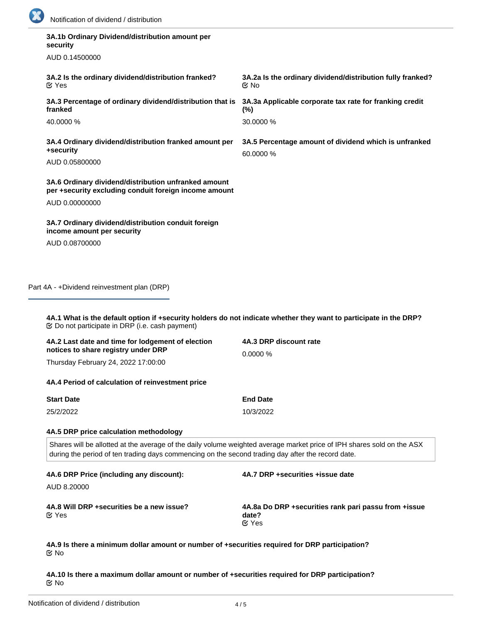

| 3A.1b Ordinary Dividend/distribution amount per<br>security                                                   |                                                                                                                                                                                                                             |
|---------------------------------------------------------------------------------------------------------------|-----------------------------------------------------------------------------------------------------------------------------------------------------------------------------------------------------------------------------|
| AUD 0.14500000                                                                                                |                                                                                                                                                                                                                             |
| 3A.2 Is the ordinary dividend/distribution franked?<br>$\alpha$ Yes                                           | 3A.2a Is the ordinary dividend/distribution fully franked?<br>় No                                                                                                                                                          |
| 3A.3 Percentage of ordinary dividend/distribution that is<br>franked                                          | 3A.3a Applicable corporate tax rate for franking credit<br>$(\%)$                                                                                                                                                           |
| 40.0000 %                                                                                                     | 30.0000 %                                                                                                                                                                                                                   |
| 3A.4 Ordinary dividend/distribution franked amount per<br>+security                                           | 3A.5 Percentage amount of dividend which is unfranked<br>60.0000 %                                                                                                                                                          |
| AUD 0.05800000                                                                                                |                                                                                                                                                                                                                             |
| 3A.6 Ordinary dividend/distribution unfranked amount<br>per +security excluding conduit foreign income amount |                                                                                                                                                                                                                             |
| AUD 0.00000000                                                                                                |                                                                                                                                                                                                                             |
| 3A.7 Ordinary dividend/distribution conduit foreign<br>income amount per security                             |                                                                                                                                                                                                                             |
| AUD 0.08700000                                                                                                |                                                                                                                                                                                                                             |
| Part 4A - +Dividend reinvestment plan (DRP)                                                                   |                                                                                                                                                                                                                             |
|                                                                                                               | 4A.1 What is the default option if +security holders do not indicate whether they want to participate in the DRP?                                                                                                           |
| <b> ©</b> Do not participate in DRP (i.e. cash payment)                                                       | 4A.3 DRP discount rate                                                                                                                                                                                                      |
| 4A.2 Last date and time for lodgement of election<br>notices to share registry under DRP                      | 0.0000%                                                                                                                                                                                                                     |
| Thursday February 24, 2022 17:00:00                                                                           |                                                                                                                                                                                                                             |
| 4A.4 Period of calculation of reinvestment price                                                              |                                                                                                                                                                                                                             |
| <b>Start Date</b>                                                                                             | <b>End Date</b>                                                                                                                                                                                                             |
| 25/2/2022                                                                                                     | 10/3/2022                                                                                                                                                                                                                   |
| 4A.5 DRP price calculation methodology                                                                        |                                                                                                                                                                                                                             |
|                                                                                                               | Shares will be allotted at the average of the daily volume weighted average market price of IPH shares sold on the ASX<br>during the period of ten trading days commencing on the second trading day after the record date. |
| 4A.6 DRP Price (including any discount):                                                                      | 4A.7 DRP +securities +issue date                                                                                                                                                                                            |
| AUD 8.20000                                                                                                   |                                                                                                                                                                                                                             |

**4A.9 Is there a minimum dollar amount or number of +securities required for DRP participation?** No

**4A.10 Is there a maximum dollar amount or number of +securities required for DRP participation?** No